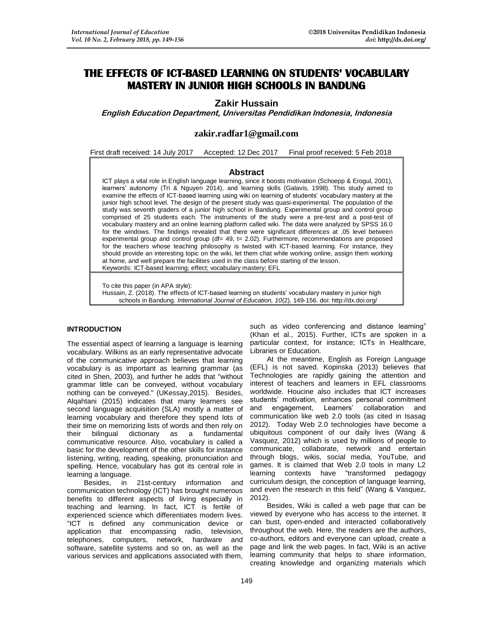# **THE EFFECTS OF ICT-BASED LEARNING ON STUDENTS' VOCABULARY MASTERY IN JUNIOR HIGH SCHOOLS IN BANDUNG**

# **Zakir Hussain**

**English Education Department, Universitas Pendidikan Indonesia, Indonesia**

# **zakir.radfar1@gmail.com**

First draft received: 14 July 2017 Accepted: 12 Dec 2017 Final proof received: 5 Feb 2018

# **Abstract**

ICT plays a vital role in English language learning, since it boosts motivation (Schoepp & Erogul, 2001), learners' autonomy (Tri & Nguyen 2014), and learning skills (Galavis, 1998). This study aimed to examine the effects of ICT-based learning using wiki on learning of students' vocabulary mastery at the junior high school level. The design of the present study was quasi-experimental. The population of the study was seventh graders of a junior high school in Bandung. Experimental group and control group comprised of 25 students each. The instruments of the study were a pre-test and a post-test of vocabulary mastery and an online learning platform called wiki. The data were analyzed by SPSS 16.0 for the windows. The findings revealed that there were significant differences at .05 level between experimental group and control group (df= 49, t= 2.02). Furthermore, recommendations are proposed for the teachers whose teaching philosophy is twisted with ICT-based learning. For instance, they should provide an interesting topic on the wiki, let them chat while working online, assign them working at home, and well prepare the facilities used in the class before starting of the lesson. Keywords: ICT-based learning; effect; vocabulary mastery; EFL

To cite this paper (in APA style):

Hussain, Z. (2018). The effects of ICT-based learning on students' vocabulary mastery in junior high schools in Bandung. *International Journal of Education, 10*(2), 149-156. doi: http://dx.doi.org/

# **INTRODUCTION**

The essential aspect of learning a language is learning vocabulary. Wilkins as an early representative advocate of the communicative approach believes that learning vocabulary is as important as learning grammar (as cited in Shen, 2003), and further he adds that "without grammar little can be conveyed, without vocabulary nothing can be conveyed." (UKessay,2015). Besides, Alqahtani (2015) indicates that many learners see second language acquisition (SLA) mostly a matter of learning vocabulary and therefore they spend lots of their time on memorizing lists of words and then rely on their bilingual dictionary as a fundamental communicative resource. Also, vocabulary is called a basic for the development of the other skills for instance listening, writing, reading, speaking, pronunciation and spelling. Hence, vocabulary has got its central role in learning a language.

Besides, in 21st-century information and communication technology (ICT) has brought numerous benefits to different aspects of living especially in teaching and learning. In fact, ICT is fertile of experienced science which differentiates modern lives. "ICT is defined any communication device or application that encompassing radio, television, telephones, computers, network, hardware and software, satellite systems and so on, as well as the various services and applications associated with them,

such as video conferencing and distance learning" (Khan et al., 2015). Further, ICTs are spoken in a particular context, for instance; ICTs in Healthcare, Libraries or Education.

At the meantime, English as Foreign Language (EFL) is not saved. Kopinska (2013) believes that Technologies are rapidly gaining the attention and interest of teachers and learners in EFL classrooms worldwide. Houcine also includes that ICT increases students' motivation, enhances personal commitment and engagement, Learners' collaboration and communication like web 2.0 tools (as cited in Isasag 2012). Today Web 2.0 technologies have become a ubiquitous component of our daily lives (Wang & Vasquez, 2012) which is used by millions of people to communicate, collaborate, network and entertain through blogs, wikis, social media, YouTube, and games. It is claimed that Web 2.0 tools in many L2 learning contexts have "transformed pedagogy curriculum design, the conception of language learning, and even the research in this field" (Wang & Vasquez, 2012).

Besides, Wiki is called a web page that can be viewed by everyone who has access to the internet. It can bust, open-ended and interacted collaboratively throughout the web. Here, the readers are the authors, co-authors, editors and everyone can upload, create a page and link the web pages. In fact, Wiki is an active learning community that helps to share information, creating knowledge and organizing materials which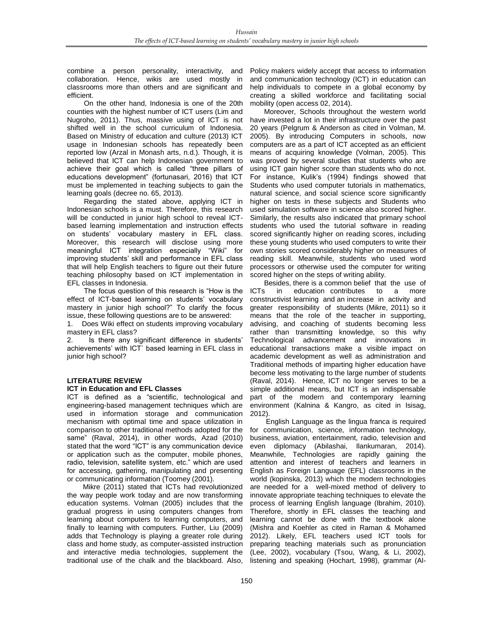combine a person personality, interactivity, and collaboration. Hence, wikis are used mostly in classrooms more than others and are significant and efficient.

On the other hand, Indonesia is one of the 20th counties with the highest number of ICT users (Lim and Nugroho, 2011). Thus, massive using of ICT is not shifted well in the school curriculum of Indonesia. Based on Ministry of education and culture (2013) ICT usage in Indonesian schools has repeatedly been reported low (Arzal in Monash arts, n.d.). Though, it is believed that ICT can help Indonesian government to achieve their goal which is called "three pillars of educations development" (fortunasari, 2016) that ICT must be implemented in teaching subjects to gain the learning goals (decree no. 65, 2013).

Regarding the stated above, applying ICT in Indonesian schools is a must. Therefore, this research will be conducted in junior high school to reveal ICTbased learning implementation and instruction effects on students' vocabulary mastery in EFL class. Moreover, this research will disclose using more meaningful ICT integration especially "Wiki" for improving students' skill and performance in EFL class that will help English teachers to figure out their future teaching philosophy based on ICT implementation in EFL classes in Indonesia.

The focus question of this research is "How is the effect of ICT-based learning on students' vocabulary mastery in junior high school?" To clarify the focus issue, these following questions are to be answered:

1. Does Wiki effect on students improving vocabulary mastery in EFL class?

2. Is there any significant difference in students' achievements' with ICT` based learning in EFL class in junior high school?

# **LITERATURE REVIEW**

#### **ICT in Education and EFL Classes**

ICT is defined as a "scientific, technological and engineering-based management techniques which are used in information storage and communication mechanism with optimal time and space utilization in comparison to other traditional methods adopted for the same" (Raval, 2014), in other words, Azad (2010) stated that the word "ICT" is any communication device or application such as the computer, mobile phones, radio, television, satellite system, etc." which are used for accessing, gathering, manipulating and presenting or communicating information (Toomey (2001).

 Mikre (2011) stated that ICTs had revolutionized the way people work today and are now transforming education systems. Volman (2005) includes that the gradual progress in using computers changes from learning about computers to learning computers, and finally to learning with computers. Further, Liu (2009) adds that Technology is playing a greater role during class and home study, as computer-assisted instruction and interactive media technologies, supplement the traditional use of the chalk and the blackboard. Also,

Policy makers widely accept that access to information and communication technology (ICT) in education can help individuals to compete in a global economy by creating a skilled workforce and facilitating social mobility (open access 02, 2014).

 Moreover, Schools throughout the western world have invested a lot in their infrastructure over the past 20 years (Pelgrum & Anderson as cited in Volman, M. 2005). By introducing Computers in schools, now computers are as a part of ICT accepted as an efficient means of acquiring knowledge (Volman, 2005). This was proved by several studies that students who are using ICT gain higher score than students who do not. For instance, Kulik's (1994) findings showed that Students who used computer tutorials in mathematics, natural science, and social science score significantly higher on tests in these subjects and Students who used simulation software in science also scored higher. Similarly, the results also indicated that primary school students who used the tutorial software in reading scored significantly higher on reading scores, including these young students who used computers to write their own stories scored considerably higher on measures of reading skill. Meanwhile, students who used word processors or otherwise used the computer for writing scored higher on the steps of writing ability.

 Besides, there is a common belief that the use of ICTs in education contributes to a more constructivist learning and an increase in activity and greater responsibility of students (Mikre, 2011) so it means that the role of the teacher in supporting, advising, and coaching of students becoming less rather than transmitting knowledge, so this why Technological advancement and innovations in educational transactions make a visible impact on academic development as well as administration and Traditional methods of imparting higher education have become less motivating to the large number of students (Raval, 2014). Hence, ICT no longer serves to be a simple additional means, but ICT is an indispensable part of the modern and contemporary learning environment (Kalnina & Kangro, as cited in Isisag, 2012).

 English Language as the lingua franca is required for communication, science, information technology, business, aviation, entertainment, radio, television and even diplomacy (Abilashai, Ilankumaran, 2014). Meanwhile, Technologies are rapidly gaining the attention and interest of teachers and learners in English as Foreign Language (EFL) classrooms in the world (kopinska, 2013) which the modern technologies are needed for a well-mixed method of delivery to innovate appropriate teaching techniques to elevate the process of learning English language (Ibrahim, 2010). Therefore, shortly in EFL classes the teaching and learning cannot be done with the textbook alone (Mishra and Koehler as cited in Raman & Mohamed 2012). Likely, EFL teachers used ICT tools for preparing teaching materials such as pronunciation (Lee, 2002), vocabulary (Tsou, Wang, & Li, 2002), listening and speaking (Hochart, 1998), grammar (Al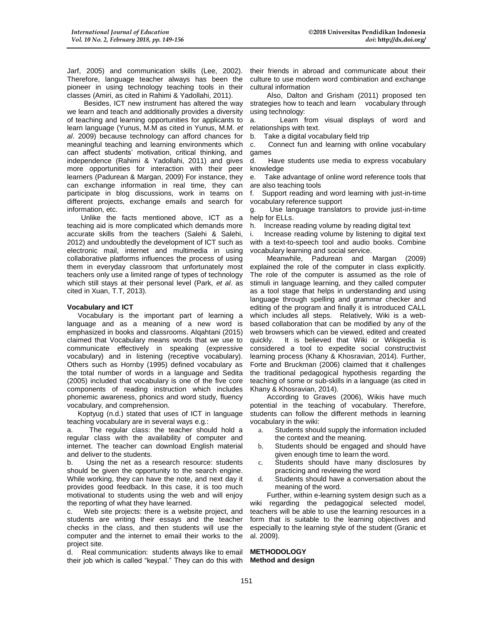Jarf, 2005) and communication skills (Lee, 2002). Therefore, language teacher always has been the pioneer in using technology teaching tools in their classes (Amiri, as cited in Rahimi & Yadollahi, 2011).

Besides, ICT new instrument has altered the way we learn and teach and additionally provides a diversity of teaching and learning opportunities for applicants to learn language (Yunus, M.M as cited in Yunus, M.M. *et al*. 2009) because technology can afford chances for meaningful teaching and learning environments which can affect students' motivation, critical thinking, and independence (Rahimi & Yadollahi, 2011) and gives more opportunities for interaction with their peer learners (Padurean & Margan, 2009) For instance, they can exchange information in real time, they can participate in blog discussions, work in teams on different projects, exchange emails and search for information, etc.

 Unlike the facts mentioned above, ICT as a teaching aid is more complicated which demands more accurate skills from the teachers (Salehi & Salehi, 2012) and undoubtedly the development of ICT such as electronic mail, internet and multimedia in using collaborative platforms influences the process of using them in everyday classroom that unfortunately most teachers only use a limited range of types of technology which still stays at their personal level (Park, *et al*. as cited in Xuan, T.T, 2013).

#### **Vocabulary and ICT**

Vocabulary is the important part of learning a language and as a meaning of a new word is emphasized in books and classrooms. Alqahtani (2015) claimed that Vocabulary means words that we use to communicate effectively in speaking (expressive vocabulary) and in listening (receptive vocabulary). Others such as Hornby (1995) defined vocabulary as the total number of words in a language and Sedita (2005) included that vocabulary is one of the five core components of reading instruction which includes phonemic awareness, phonics and word study, fluency vocabulary, and comprehension.

Koptyug (n.d.) stated that uses of ICT in language teaching vocabulary are in several ways e.g.:

a. The regular class: the teacher should hold a regular class with the availability of computer and internet. The teacher can download English material and deliver to the students.

b. Using the net as a research resource: students should be given the opportunity to the search engine. While working, they can have the note, and next day it provides good feedback. In this case, it is too much motivational to students using the web and will enjoy the reporting of what they have learned.

c. Web site projects: there is a website project, and students are writing their essays and the teacher checks in the class, and then students will use the computer and the internet to email their works to the project site.

d. Real communication: students always like to email their job which is called "keypal." They can do this with

their friends in abroad and communicate about their culture to use modern word combination and exchange cultural information

Also, Dalton and Grisham (2011) proposed ten strategies how to teach and learn vocabulary through using technology:

a. Learn from visual displays of word and relationships with text.

b. Take a digital vocabulary field trip

c. Connect fun and learning with online vocabulary games

d. Have students use media to express vocabulary knowledge

e. Take advantage of online word reference tools that are also teaching tools

f. Support reading and word learning with just-in-time vocabulary reference support

g. Use language translators to provide just-in-time help for ELLs.

h. Increase reading volume by reading digital text

i. Increase reading volume by listening to digital text with a text-to-speech tool and audio books. Combine vocabulary learning and social service.

Meanwhile, Padurean and Margan (2009) explained the role of the computer in class explicitly. The role of the computer is assumed as the role of stimuli in language learning, and they called computer as a tool stage that helps in understanding and using language through spelling and grammar checker and editing of the program and finally it is introduced CALL which includes all steps. Relatively, Wiki is a webbased collaboration that can be modified by any of the web browsers which can be viewed, edited and created quickly. It is believed that Wiki or Wikipedia is considered a tool to expedite social constructivist learning process (Khany & Khosravian, 2014). Further, Forte and Bruckman (2006) claimed that it challenges the traditional pedagogical hypothesis regarding the teaching of some or sub-skills in a language (as cited in Khany & Khosravian, 2014).

According to Graves (2006), Wikis have much potential in the teaching of vocabulary. Therefore, students can follow the different methods in learning vocabulary in the wiki:

- a. Students should supply the information included the context and the meaning.
- b. Students should be engaged and should have given enough time to learn the word.
- c. Students should have many disclosures by practicing and reviewing the word
- d. Students should have a conversation about the meaning of the word.

Further, within e-learning system design such as a wiki regarding the pedagogical selected model, teachers will be able to use the learning resources in a form that is suitable to the learning objectives and especially to the learning style of the student (Granic et al. 2009).

#### **METHODOLOGY Method and design**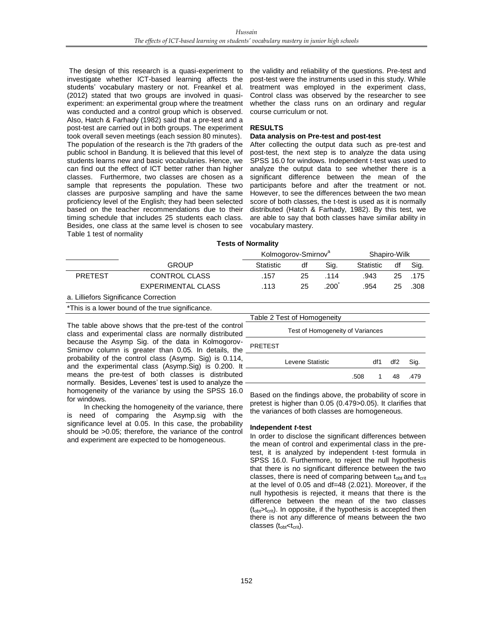The design of this research is a quasi-experiment to investigate whether ICT-based learning affects the students' vocabulary mastery or not. Freankel et al. (2012) stated that two groups are involved in quasiexperiment: an experimental group where the treatment was conducted and a control group which is observed. Also, Hatch & Farhady (1982) said that a pre-test and a post-test are carried out in both groups. The experiment took overall seven meetings (each session 80 minutes). The population of the research is the 7th graders of the public school in Bandung. It is believed that this level of students learns new and basic vocabularies. Hence, we can find out the effect of ICT better rather than higher classes. Furthermore, two classes are chosen as a sample that represents the population. These two classes are purposive sampling and have the same proficiency level of the English; they had been selected based on the teacher recommendations due to their timing schedule that includes 25 students each class. Besides, one class at the same level is chosen to see Table 1 test of normality

the validity and reliability of the questions. Pre-test and post-test were the instruments used in this study. While treatment was employed in the experiment class, Control class was observed by the researcher to see whether the class runs on an ordinary and regular course curriculum or not.

#### **RESULTS**

# **Data analysis on Pre-test and post-test**

After collecting the output data such as pre-test and post-test, the next step is to analyze the data using SPSS 16.0 for windows. Independent t-test was used to analyze the output data to see whether there is a significant difference between the mean of the participants before and after the treatment or not. However, to see the differences between the two mean score of both classes, the t-test is used as it is normally distributed (Hatch & Farhady, 1982). By this test, we are able to say that both classes have similar ability in vocabulary mastery.

#### **Tests of Normality**

|                |                      | Kolmogorov-Smirnov <sup>a</sup> |    |      | Shapiro-Wilk |    |      |
|----------------|----------------------|---------------------------------|----|------|--------------|----|------|
|                | <b>GROUP</b>         | Statistic                       | df | Sig. | Statistic    | df | Sig. |
| <b>PRETEST</b> | <b>CONTROL CLASS</b> | .157                            | 25 | .114 | .943         | 25 | .175 |
|                | EXPERIMENTAL CLASS   | .113                            | 25 | .200 | .954         | 25 | .308 |

a. Lilliefors Significance Correction

\*This is a lower bound of the true significance.

The table above shows that the pre-test of the control class and experimental class are normally distributed because the Asymp Sig. of the data in Kolmogorov-Smirnov column is greater than 0.05. In details, the probability of the control class (Asymp. Sig) is 0.114, and the experimental class (Asymp.Sig) is 0.200. It means the pre-test of both classes is distributed normally. Besides, Levenes' test is used to analyze the homogeneity of the variance by using the SPSS 16.0 for windows.

In checking the homogeneity of the variance, there is need of comparing the Asymp.sig with the significance level at 0.05. In this case, the probability should be >0.05; therefore, the variance of the control and experiment are expected to be homogeneous.

| Table 2 Test of Homogeneity      |      |     |                 |      |  |  |  |  |  |  |
|----------------------------------|------|-----|-----------------|------|--|--|--|--|--|--|
|                                  |      |     |                 |      |  |  |  |  |  |  |
| Test of Homogeneity of Variances |      |     |                 |      |  |  |  |  |  |  |
| <b>PRETEST</b>                   |      |     |                 |      |  |  |  |  |  |  |
| Levene Statistic                 |      | df1 | df <sub>2</sub> | Sig. |  |  |  |  |  |  |
|                                  | .508 |     | 48              | .479 |  |  |  |  |  |  |

Based on the findings above, the probability of score in pretest is higher than 0.05 (0.479>0.05). It clarifies that the variances of both classes are homogeneous.

#### **Independent** *t***-test**

In order to disclose the significant differences between the mean of control and experimental class in the pretest, it is analyzed by independent t-test formula in SPSS 16.0. Furthermore, to reject the null hypothesis that there is no significant difference between the two classes, there is need of comparing between  $t_{\text{obt}}$  and  $t_{\text{crit}}$ at the level of 0.05 and df=48 (2.021). Moreover, if the null hypothesis is rejected, it means that there is the difference between the mean of the two classes  $(t_{\text{obt}} > t_{\text{crit}})$ . In opposite, if the hypothesis is accepted then there is not any difference of means between the two classes (t<sub>obt</sub><t<sub>crit</sub>).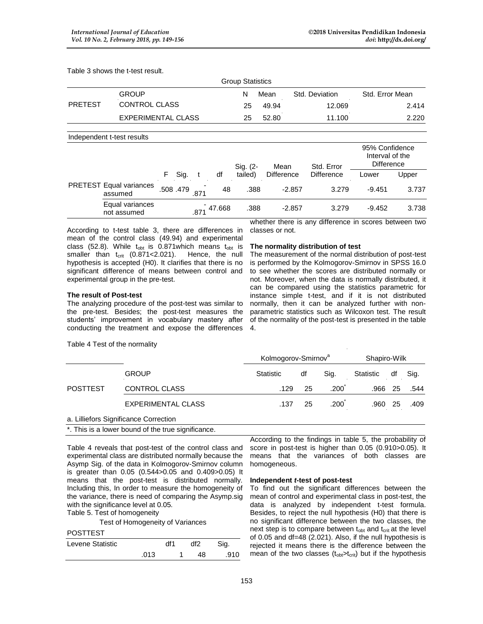Table 3 shows the t-test result.

| <b>Group Statistics</b> |    |       |                |                 |  |  |  |  |  |  |
|-------------------------|----|-------|----------------|-----------------|--|--|--|--|--|--|
| GROUP                   | N  | Mean  | Std. Deviation | Std. Error Mean |  |  |  |  |  |  |
| CONTROL CLASS           | 25 | 49.94 | 12.069         | 2.414           |  |  |  |  |  |  |
| EXPERIMENTAL CLASS      | 25 | 52.80 | 11.100         | 2.220           |  |  |  |  |  |  |
|                         |    |       |                |                 |  |  |  |  |  |  |

Independent t-test results

|                                    |          |      |        | Sig. (2- | Mean              | Std. Error | 95% Confidence<br>Interval of the<br><b>Difference</b> |       |
|------------------------------------|----------|------|--------|----------|-------------------|------------|--------------------------------------------------------|-------|
|                                    | F Sig.   |      | df     | tailed)  | <b>Difference</b> | Difference | Lower                                                  | Upper |
| PRETEST Equal variances<br>assumed | .508.479 |      | 48     | .388     | $-2.857$          | 3.279      | $-9.451$                                               | 3.737 |
| Equal variances<br>not assumed     |          | .871 | 47.668 | .388     | $-2.857$          | 3.279      | $-9.452$                                               | 3.738 |

According to t-test table 3, there are differences in mean of the control class (49.94) and experimental class (52.8). While  $t_{\text{obt}}$  is 0.871which means  $t_{\text{obt}}$  is smaller than  $t_{crit}$  (0.871<2.021). Hence, the null hypothesis is accepted (H0). It clarifies that there is no significant difference of means between control and experimental group in the pre-test.

# **The result of Post-test**

Table 4 Test of the normality

The analyzing procedure of the post-test was similar to the pre-test. Besides; the post-test measures the students' improvement in vocabulary mastery after conducting the treatment and expose the differences

whether there is any difference in scores between two classes or not.

# **The normality distribution of test**

The measurement of the normal distribution of post-test is performed by the Kolmogorov-Smirnov in SPSS 16.0 to see whether the scores are distributed normally or not. Moreover, when the data is normally distributed, it can be compared using the statistics parametric for instance simple t-test, and if it is not distributed normally, then it can be analyzed further with nonparametric statistics such as Wilcoxon test. The result of the normality of the post-test is presented in the table 4.

|                 |                           | Kolmogorov-Smirnov <sup>a</sup> |    |                   | Shapiro-Wilk |    |      |
|-----------------|---------------------------|---------------------------------|----|-------------------|--------------|----|------|
|                 | <b>GROUP</b>              | Statistic                       | df | Sig.              | Statistic    | df | Sig. |
| <b>POSTTEST</b> | CONTROL CLASS             | .129                            | 25 | .200              | .966 25      |    | .544 |
|                 | <b>EXPERIMENTAL CLASS</b> | .137                            | 25 | .200 <sup>°</sup> | .960 25      |    | .409 |
|                 |                           |                                 |    |                   |              |    |      |

a. Lilliefors Significance Correction

\*. This is a lower bound of the true significance.

Table 4 reveals that post-test of the control class and experimental class are distributed normally because the Asymp Sig. of the data in Kolmogorov-Smirnov column is greater than 0.05 (0.544>0.05 and 0.409>0.05) It means that the post-test is distributed normally. Including this, In order to measure the homogeneity of the variance, there is need of comparing the Asymp.sig with the significance level at 0.05.

Table 5. Test of homogeneity

Test of Homogeneity of Variances

# POSTTEST

| Levene Statistic |      | df1 | df2 | Sia. |
|------------------|------|-----|-----|------|
|                  | .013 |     | 48  | .910 |

According to the findings in table 5, the probability of score in post-test is higher than 0.05 (0.910>0.05). It means that the variances of both classes are homogeneous.

# **Independent** *t***-test of post-test**

To find out the significant differences between the mean of control and experimental class in post-test, the data is analyzed by independent t-test formula. Besides, to reject the null hypothesis (H0) that there is no significant difference between the two classes, the next step is to compare between  $t_{\text{obt}}$  and  $t_{\text{crit}}$  at the level of 0.05 and df=48 (2.021). Also, if the null hypothesis is rejected it means there is the difference between the mean of the two classes  $(t_{\text{obj}} > t_{\text{crit}})$  but if the hypothesis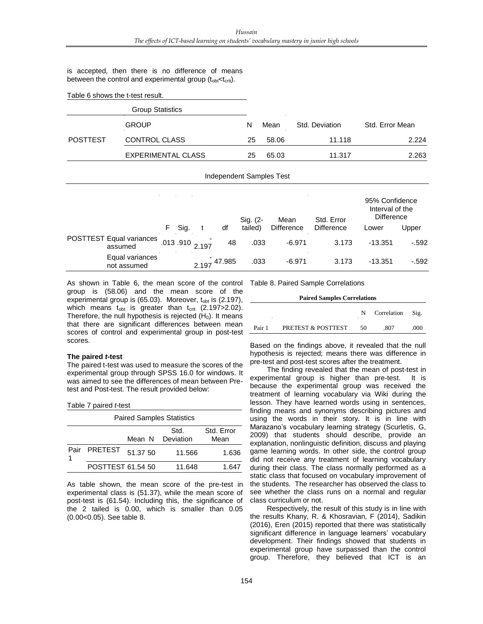is accepted, then there is no difference of means between the control and experimental group  $(t_{\text{obt}} < t_{\text{crit}})$ .

Table 6 shows the t-test result.

|                 | <b>Group Statistics</b> |    |       |                |                 |
|-----------------|-------------------------|----|-------|----------------|-----------------|
|                 | <b>GROUP</b>            | N  | Mean  | Std. Deviation | Std. Error Mean |
| <b>POSTTEST</b> | <b>CONTROL CLASS</b>    | 25 | 58.06 | 11.118         | 2.224           |
|                 | EXPERIMENTAL CLASS      | 25 | 65.03 | 11.317         | 2.263           |
|                 |                         |    |       |                |                 |

| Independent Samples Test |  |  |
|--------------------------|--|--|
|                          |  |  |

|                                     |    |      |                            | Sig. (2-<br>Std. Error<br>Mean |         | 95% Confidence<br>Interval of the<br><b>Difference</b> |                   |           |        |
|-------------------------------------|----|------|----------------------------|--------------------------------|---------|--------------------------------------------------------|-------------------|-----------|--------|
|                                     | F. | Sig. |                            | df                             | tailed) | <b>Difference</b>                                      | <b>Difference</b> | Lower     | Upper  |
| POSTTEST Equal variances<br>assumed |    |      | .013 .910 <sub>2.197</sub> | 48                             | .033    | $-6.971$                                               | 3.173             | $-13.351$ | $-592$ |
| Equal variances<br>not assumed      |    |      |                            | 2.197 47.985                   | .033    | $-6.971$                                               | 3.173             | $-13.351$ | $-592$ |

As shown in Table 6, the mean score of the control Table 8. Paired Sample Correlations group is (58.06) and the mean score of the experimental group is  $(65.03)$ . Moreover,  $t_{\text{obt}}$  is  $(2.197)$ , which means  $t_{\rm obt}$  is greater than  $t_{\rm crit}$  (2.197>2.02). Therefore, the null hypothesis is rejected  $(H<sub>0</sub>)$ . It means that there are significant differences between mean scores of control and experimental group in post-test scores.

#### **The paired** *t***-test**

The paired t-test was used to measure the scores of the experimental group through SPSS 16.0 for windows. It was aimed to see the differences of mean between Pretest and Post-test. The result provided below:

Table 7 paired *t*-test

#### Paired Samples Statistics

|                   |          | Std.<br>Mean N Deviation | Std. Error<br>Mean |
|-------------------|----------|--------------------------|--------------------|
| Pair PRETEST      | 51.37 50 | 11.566                   | 1.636              |
| POSTTEST 61.54 50 |          | 11.648                   | 1.647              |

As table shown, the mean score of the pre-test in experimental class is (51.37), while the mean score of post-test is (61.54). Including this, the significance of the 2 tailed is 0.00, which is smaller than 0.05 (0.00<0.05). See table 8.

#### **Paired Samples Correlations**

|        |                    |    | Correlation Sig. |    |
|--------|--------------------|----|------------------|----|
| Pair 1 | PRETEST & POSTTEST | 50 | .807             | നറ |

Based on the findings above, it revealed that the null hypothesis is rejected; means there was difference in pre-test and post-test scores after the treatment.

The finding revealed that the mean of post-test in experimental group is higher than pre-test. It is because the experimental group was received the treatment of learning vocabulary via Wiki during the lesson. They have learned words using in sentences, finding means and synonyms describing pictures and using the words in their story. It is in line with Marazano's vocabulary learning strategy (Scurletis, G, 2009) that students should describe, provide an explanation, nonlinguistic definition, discuss and playing game learning words. In other side, the control group did not receive any treatment of learning vocabulary during their class. The class normally performed as a static class that focused on vocabulary improvement of the students. The researcher has observed the class to see whether the class runs on a normal and regular class curriculum or not.

Respectively, the result of this study is in line with the results Khany, R. & Khosravian, F (2014), Sadikin (2016), Eren (2015) reported that there was statistically significant difference in language learners' vocabulary development. Their findings showed that students in experimental group have surpassed than the control group. Therefore, they believed that ICT is an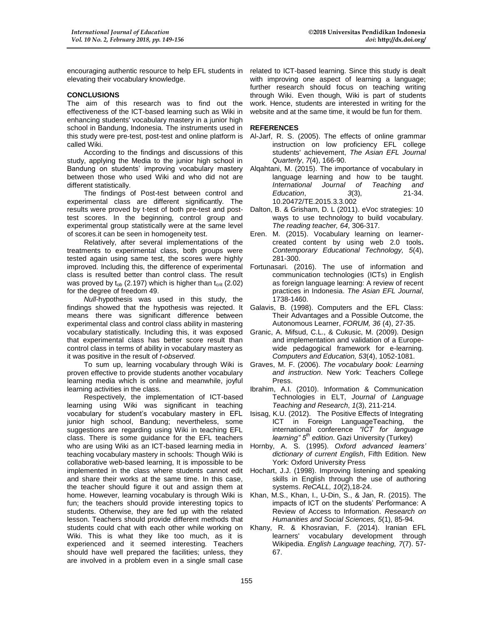encouraging authentic resource to help EFL students in elevating their vocabulary knowledge.

# **CONCLUSIONS**

The aim of this research was to find out the effectiveness of the ICT-based learning such as Wiki in enhancing students' vocabulary mastery in a junior high school in Bandung, Indonesia. The instruments used in this study were pre-test, post-test and online platform is called Wiki.

According to the findings and discussions of this study, applying the Media to the junior high school in Bandung on students' improving vocabulary mastery between those who used Wiki and who did not are different statistically.

The findings of Post-test between control and experimental class are different significantly. The results were proved by t-test of both pre-test and posttest scores. In the beginning, control group and experimental group statistically were at the same level of scores.it can be seen in homogeneity test.

Relatively, after several implementations of the treatments to experimental class, both groups were tested again using same test, the scores were highly improved. Including this, the difference of experimental class is resulted better than control class. The result was proved by  $t_{ob}$  (2.197) which is higher than  $t_{crit}$  (2.02) for the degree of freedom 49.

*Null*-hypothesis was used in this study, the findings showed that the hypothesis was rejected. It means there was significant difference between experimental class and control class ability in mastering vocabulary statistically. Including this, it was exposed that experimental class has better score result than control class in terms of ability in vocabulary mastery as it was positive in the result of *t-observed.*

To sum up, learning vocabulary through Wiki is proven effective to provide students another vocabulary learning media which is online and meanwhile, joyful learning activities in the class.

Respectively, the implementation of ICT-based learning using Wiki was significant in teaching vocabulary for student's vocabulary mastery in EFL junior high school, Bandung; nevertheless, some suggestions are regarding using Wiki in teaching EFL class. There is some guidance for the EFL teachers who are using Wiki as an ICT-based learning media in teaching vocabulary mastery in schools: Though Wiki is collaborative web-based learning, It is impossible to be implemented in the class where students cannot edit and share their works at the same time. In this case, the teacher should figure it out and assign them at home. However, learning vocabulary is through Wiki is fun; the teachers should provide interesting topics to students. Otherwise, they are fed up with the related lesson. Teachers should provide different methods that students could chat with each other while working on Wiki. This is what they like too much, as it is experienced and it seemed interesting. Teachers should have well prepared the facilities; unless, they are involved in a problem even in a single small case

related to ICT-based learning. Since this study is dealt with improving one aspect of learning a language; further research should focus on teaching writing through Wiki. Even though, Wiki is part of students work. Hence, students are interested in writing for the website and at the same time, it would be fun for them.

# **REFERENCES**

- Al-Jarf, R. S. (2005). The effects of online grammar instruction on low proficiency EFL college students' achievement, *The Asian EFL Journal Quarterly*, *7*(4), 166-90.
- Alqahtani, M. (2015). The importance of vocabulary in language learning and how to be taught.<br>International Journal of Teaching and *Teaching and* <br>.21-34 *Education*, 3(3), 10.20472/TE.2015.3.3.002
- Dalton, B. & Grisham, D. L (2011). eVoc strategies: 10 ways to use technology to build vocabulary. *The reading teacher, 64*, 306-317.
- Eren. M. (2015). Vocabulary learning on learnercreated content by using web 2.0 tools**.** *Contemporary Educational Technology, 5*(4), 281-300.
- Fortunasari. (2016). The use of information and communication technologies (ICTs) in English as foreign language learning: A review of recent practices in Indonesia. *The Asian EFL Journal*, 1738-1460.
- Galavis, B. (1998). Computers and the EFL Class: Their Advantages and a Possible Outcome, the Autonomous Learner, *FORUM, 36* (4), 27-35.
- Granic, A. Mifsud, C.L., & Cukusic, M. (2009). Design and implementation and validation of a Europewide pedagogical framework for e-learning. *Computers and Education, 53*(4), 1052-1081.
- Graves, M. F. (2006). *The vocabulary book: Learning and instruction*. New York: Teachers College Press.
- Ibrahim, A.I. (2010). Information & Communication Technologies in ELT, *Journal of Language Teaching and Research*, *1*(3), 211-214.
- Isisag, K.U. (2012). The Positive Effects of Integrating ICT in Foreign LanguageTeaching, the international conference *"ICT for language learning" 5th edition*. Gazi University (Turkey)
- Hornby, A. S. (1995). *Oxford advanced learners' dictionary of current English*, Fifth Edition. New York: Oxford University Press
- Hochart, J.J. (1998). Improving listening and speaking skills in English through the use of authoring systems. *ReCALL, 10*(2),18-24.
- Khan, M.S., Khan, I., U-Din, S., & Jan, R. (2015). The impacts of ICT on the students' Performance: A Review of Access to Information. *Research on Humanities and Social Sciences, 5*(1), 85-94.
- Khany, R. & Khosravian, F. (2014). Iranian EFL learners' vocabulary development through Wikipedia. *English Language teaching, 7*(7). 57- 67.